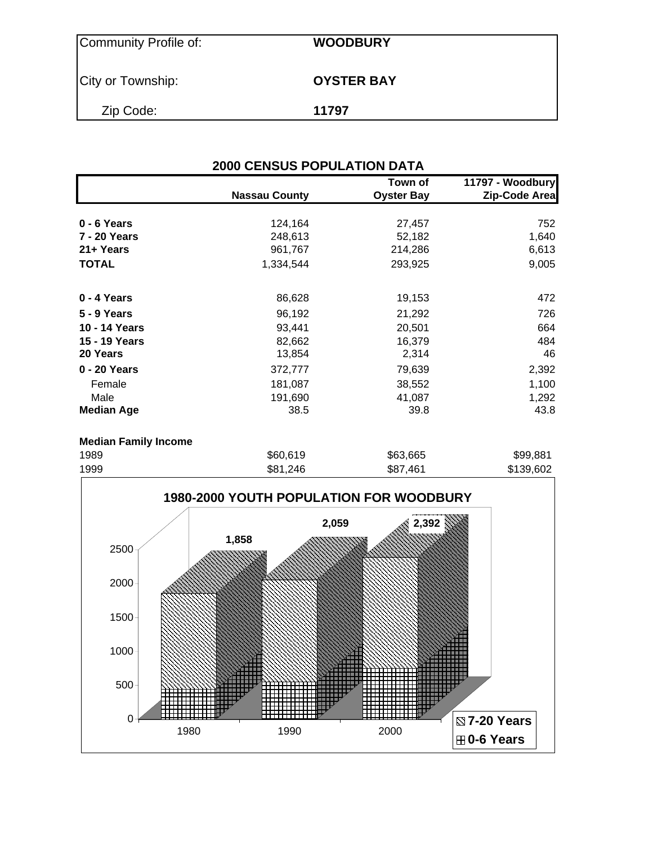| Community Profile of: | <b>WOODBURY</b>   |
|-----------------------|-------------------|
| City or Township:     | <b>OYSTER BAY</b> |
| Zip Code:             | 11797             |

| <b>2000 CENSUS POPULATION DATA</b> |                      |                              |                                   |  |  |  |  |
|------------------------------------|----------------------|------------------------------|-----------------------------------|--|--|--|--|
|                                    | <b>Nassau County</b> | Town of<br><b>Oyster Bay</b> | 11797 - Woodbury<br>Zip-Code Area |  |  |  |  |
| 0 - 6 Years                        | 124,164              | 27,457                       | 752                               |  |  |  |  |
| 7 - 20 Years                       | 248,613              | 52,182                       | 1,640                             |  |  |  |  |
| 21+ Years                          | 961,767              | 214,286                      | 6,613                             |  |  |  |  |
| <b>TOTAL</b>                       | 1,334,544            | 293,925                      | 9,005                             |  |  |  |  |
| 0 - 4 Years                        | 86,628               | 19,153                       | 472                               |  |  |  |  |
| 5 - 9 Years                        | 96,192               | 21,292                       | 726                               |  |  |  |  |
| 10 - 14 Years                      | 93,441               | 20,501                       | 664                               |  |  |  |  |
| 15 - 19 Years                      | 82,662               | 16,379                       | 484                               |  |  |  |  |
| 20 Years                           | 13,854               | 2,314                        | 46                                |  |  |  |  |
| 0 - 20 Years                       | 372,777              | 79,639                       | 2,392                             |  |  |  |  |
| Female                             | 181,087              | 38,552                       | 1,100                             |  |  |  |  |
| Male                               | 191,690              | 41,087                       | 1,292                             |  |  |  |  |
| <b>Median Age</b>                  | 38.5                 | 39.8                         | 43.8                              |  |  |  |  |

### **Median Family Income**

| 1989 | \$60,619 | \$63,665 | \$99,881  |
|------|----------|----------|-----------|
| 1999 | \$81,246 | \$87,461 | \$139,602 |

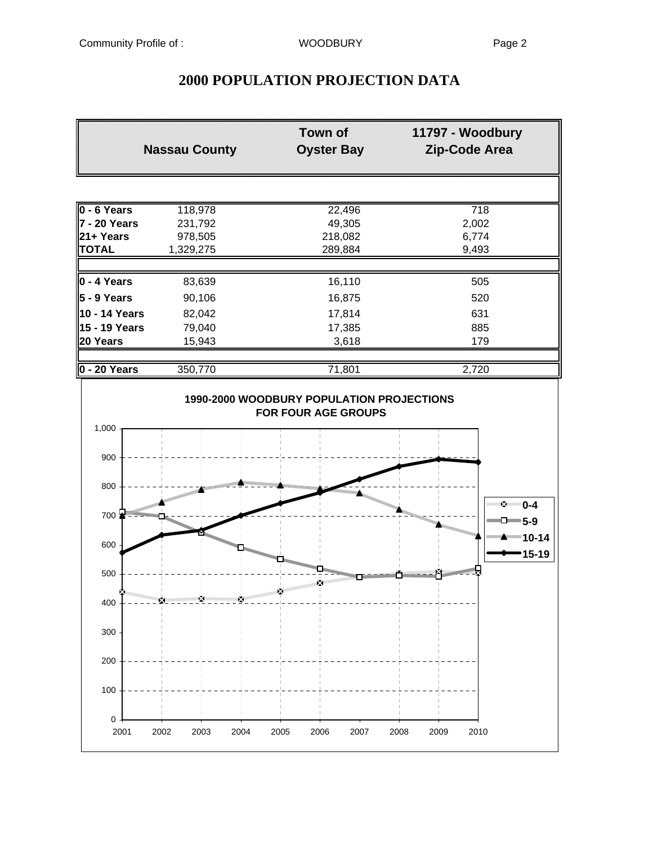# **2000 POPULATION PROJECTION DATA**

|                     | <b>Nassau County</b>            | <b>Town of</b><br><b>Oyster Bay</b> | 11797 - Woodbury<br>Zip-Code Area                      |
|---------------------|---------------------------------|-------------------------------------|--------------------------------------------------------|
|                     |                                 |                                     |                                                        |
| $0 - 6$ Years       | 118,978                         | 22,496                              | $\overline{718}$                                       |
| 7 - 20 Years        | 231,792                         | 49,305                              | 2,002                                                  |
| 21+ Years           | 978,505                         | 218,082                             | 6,774                                                  |
| <b>TOTAL</b>        | 1,329,275                       | 289,884                             | 9,493                                                  |
| 0 - 4 Years         | 83,639                          | 16,110                              | 505                                                    |
| 5 - 9 Years         | 90,106                          | 16,875                              | 520                                                    |
| 10 - 14 Years       | 82,042                          | 17,814                              | 631                                                    |
| 15 - 19 Years       | 79,040                          | 17,385                              | 885                                                    |
| 20 Years            | 15,943                          | 3,618                               | 179                                                    |
| 0 - 20 Years        | 350,770                         | 71,801                              | 2,720                                                  |
| 1,000               |                                 |                                     |                                                        |
| 900<br>800          | <b>START OF THE REAL</b>        |                                     |                                                        |
| 700                 | <b>Residential Constitution</b> |                                     | $\Sigma = 0-4$<br>November 1980<br>$\neg$ D $\neg$ 5-9 |
| 600                 |                                 |                                     | ■■■■ 10-14<br>15-19                                    |
| 500                 |                                 | ×<br>Ň                              |                                                        |
| 400                 | ₩                               |                                     |                                                        |
| 300                 |                                 |                                     |                                                        |
| 200                 |                                 |                                     |                                                        |
| 100                 |                                 |                                     |                                                        |
| $\mathbf 0$<br>2001 | 2002<br>2003<br>2004            | 2005<br>2006<br>2007                | 2008<br>2009<br>2010                                   |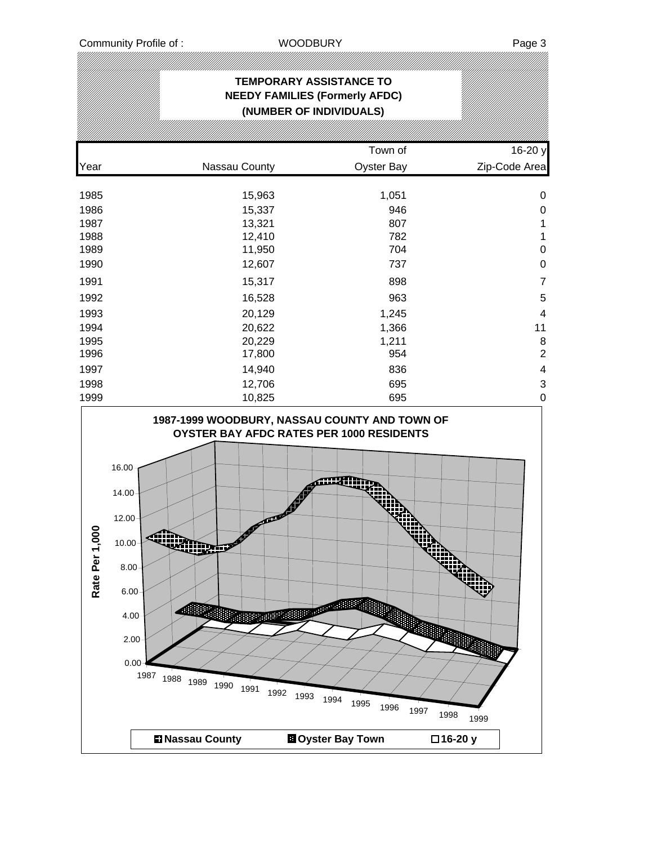## **TEMPORARY ASSISTANCE TO NEEDY FAMILIES (Formerly AFDC) (NUMBER OF INDIVIDUALS)** Town of 16-20 y Year **Nassau County County** Oyster Bay **Zip-Code Area** 1985 15,963 1,051 0 1986 15,337 946 0 1987 13,321 807 1 1988 12,410 782 1 1989 11,950 704 0 1990 12,607 737 0 1991 15,317 898 7 1992 16,528 963 5 1993 20,129 1,245 4 1994 20,622 1,366 11 1995 20,229 1,211 8 1996 17,800 954 2 1997 14,940 836 4 1998 12,706 695 3 1999 10,825 695 0

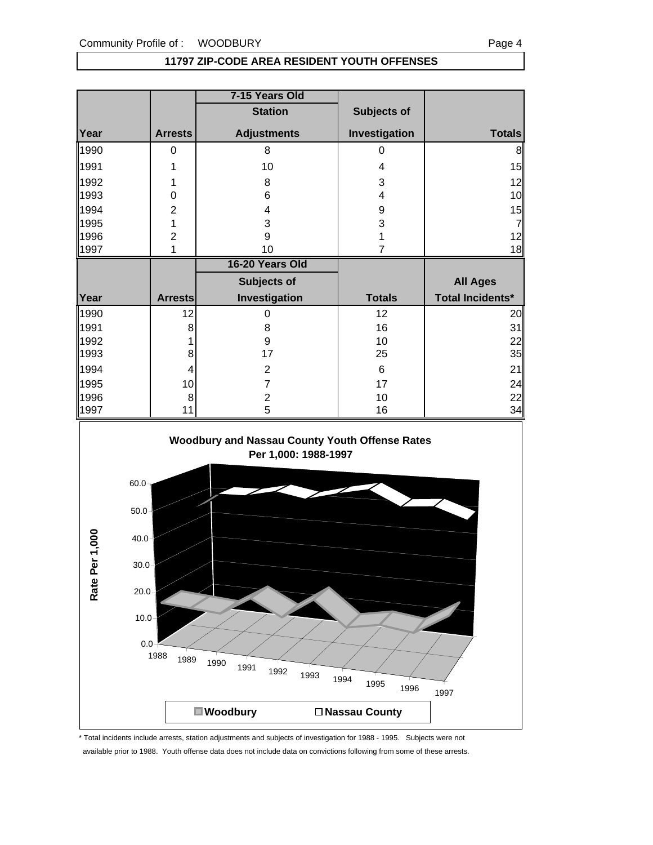### **11797 ZIP-CODE AREA RESIDENT YOUTH OFFENSES**

| <b>Station</b><br>Subjects of<br>Investigation<br>Year<br><b>Adjustments</b><br><b>Arrests</b><br>1990<br>8<br>$\boldsymbol{0}$<br>0<br>1991<br>10<br>$\overline{\mathbf{4}}$<br>1<br>1992<br>3<br>1<br>8<br>$\overline{\mathbf{4}}$<br>1993<br>0<br>6<br>1994<br>$\overline{2}$<br>$\overline{\mathbf{4}}$<br>$\boldsymbol{9}$<br>$\mathbf 1$<br>3<br>1995<br>3<br>$\overline{c}$<br>9<br>1996<br>1<br>$\overline{7}$<br>1<br>10<br>1997<br>16-20 Years Old<br>Subjects of<br><b>All Ages</b><br><b>Total Incidents*</b><br>Year<br>Investigation<br><b>Totals</b><br><b>Arrests</b><br>1990<br>12<br>12<br>$\pmb{0}$<br>1991<br>16<br>8<br>$\,8\,$<br>$\boldsymbol{9}$<br>1992<br>10<br>1<br>17<br>25<br>1993<br>8<br>1994<br>$\,6\,$<br>$\overline{2}$<br>4<br>1995<br>17<br>10<br>$\overline{7}$<br>1996<br>$\overline{2}$<br>10<br>8<br>5<br>11<br>16<br>1997<br>Woodbury and Nassau County Youth Offense Rates<br>Per 1,000: 1988-1997<br>$60.0 -$<br>$50.0 -$<br>$40.0 -$<br>$30.0 -$ |                | 7-15 Years Old |                |
|----------------------------------------------------------------------------------------------------------------------------------------------------------------------------------------------------------------------------------------------------------------------------------------------------------------------------------------------------------------------------------------------------------------------------------------------------------------------------------------------------------------------------------------------------------------------------------------------------------------------------------------------------------------------------------------------------------------------------------------------------------------------------------------------------------------------------------------------------------------------------------------------------------------------------------------------------------------------------------------------|----------------|----------------|----------------|
|                                                                                                                                                                                                                                                                                                                                                                                                                                                                                                                                                                                                                                                                                                                                                                                                                                                                                                                                                                                              |                |                |                |
|                                                                                                                                                                                                                                                                                                                                                                                                                                                                                                                                                                                                                                                                                                                                                                                                                                                                                                                                                                                              |                |                | <b>Totals</b>  |
|                                                                                                                                                                                                                                                                                                                                                                                                                                                                                                                                                                                                                                                                                                                                                                                                                                                                                                                                                                                              |                |                | 8              |
|                                                                                                                                                                                                                                                                                                                                                                                                                                                                                                                                                                                                                                                                                                                                                                                                                                                                                                                                                                                              |                |                | 15             |
|                                                                                                                                                                                                                                                                                                                                                                                                                                                                                                                                                                                                                                                                                                                                                                                                                                                                                                                                                                                              |                |                | 12             |
|                                                                                                                                                                                                                                                                                                                                                                                                                                                                                                                                                                                                                                                                                                                                                                                                                                                                                                                                                                                              |                |                | 10             |
|                                                                                                                                                                                                                                                                                                                                                                                                                                                                                                                                                                                                                                                                                                                                                                                                                                                                                                                                                                                              |                |                | 15             |
|                                                                                                                                                                                                                                                                                                                                                                                                                                                                                                                                                                                                                                                                                                                                                                                                                                                                                                                                                                                              |                |                | $\overline{7}$ |
|                                                                                                                                                                                                                                                                                                                                                                                                                                                                                                                                                                                                                                                                                                                                                                                                                                                                                                                                                                                              |                |                | 12<br>18       |
|                                                                                                                                                                                                                                                                                                                                                                                                                                                                                                                                                                                                                                                                                                                                                                                                                                                                                                                                                                                              |                |                |                |
|                                                                                                                                                                                                                                                                                                                                                                                                                                                                                                                                                                                                                                                                                                                                                                                                                                                                                                                                                                                              |                |                |                |
|                                                                                                                                                                                                                                                                                                                                                                                                                                                                                                                                                                                                                                                                                                                                                                                                                                                                                                                                                                                              |                |                |                |
|                                                                                                                                                                                                                                                                                                                                                                                                                                                                                                                                                                                                                                                                                                                                                                                                                                                                                                                                                                                              |                |                |                |
|                                                                                                                                                                                                                                                                                                                                                                                                                                                                                                                                                                                                                                                                                                                                                                                                                                                                                                                                                                                              |                |                | 20<br>31       |
|                                                                                                                                                                                                                                                                                                                                                                                                                                                                                                                                                                                                                                                                                                                                                                                                                                                                                                                                                                                              |                |                | 22             |
|                                                                                                                                                                                                                                                                                                                                                                                                                                                                                                                                                                                                                                                                                                                                                                                                                                                                                                                                                                                              |                |                | 35             |
|                                                                                                                                                                                                                                                                                                                                                                                                                                                                                                                                                                                                                                                                                                                                                                                                                                                                                                                                                                                              |                |                | 21             |
|                                                                                                                                                                                                                                                                                                                                                                                                                                                                                                                                                                                                                                                                                                                                                                                                                                                                                                                                                                                              |                |                | 24             |
|                                                                                                                                                                                                                                                                                                                                                                                                                                                                                                                                                                                                                                                                                                                                                                                                                                                                                                                                                                                              |                |                | 22             |
|                                                                                                                                                                                                                                                                                                                                                                                                                                                                                                                                                                                                                                                                                                                                                                                                                                                                                                                                                                                              |                |                | 34             |
| $20.0 -$                                                                                                                                                                                                                                                                                                                                                                                                                                                                                                                                                                                                                                                                                                                                                                                                                                                                                                                                                                                     | Rate Per 1,000 |                |                |



<sup>1988</sup> <sup>1989</sup> <sup>1990</sup> <sup>1991</sup> <sup>1992</sup> <sup>1993</sup> <sup>1994</sup> <sup>1995</sup> <sup>1996</sup> <sup>1997</sup>

■ Woodbury **Nassau County** 

\* Total incidents include arrests, station adjustments and subjects of investigation for 1988 - 1995. Subjects were not available prior to 1988. Youth offense data does not include data on convictions following from some of these arrests.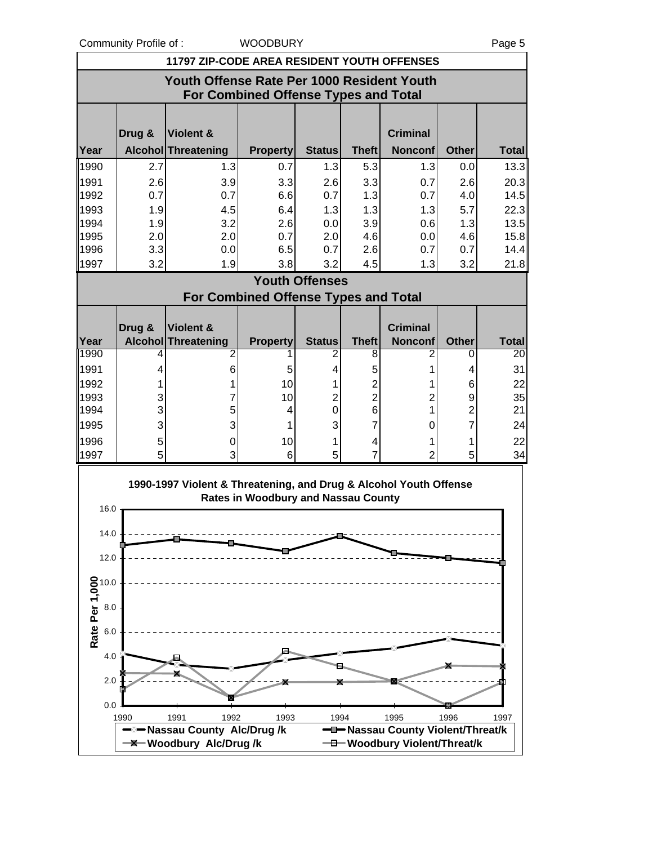Community Profile of : WOODBURY **Page 5** Page 5

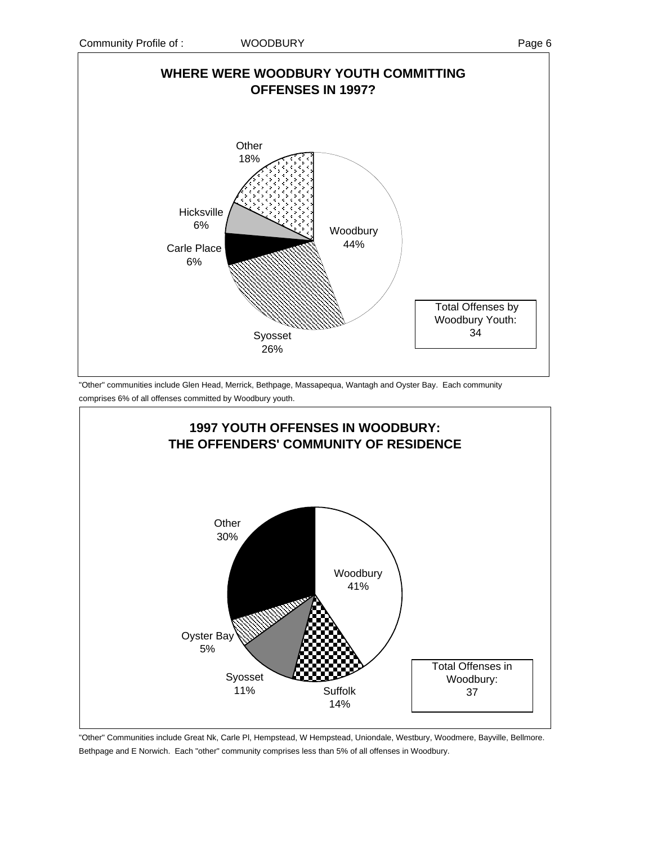



"Other" communities include Glen Head, Merrick, Bethpage, Massapequa, Wantagh and Oyster Bay. Each community comprises 6% of all offenses committed by Woodbury youth.



"Other" Communities include Great Nk, Carle Pl, Hempstead, W Hempstead, Uniondale, Westbury, Woodmere, Bayville, Bellmore. Bethpage and E Norwich. Each "other" community comprises less than 5% of all offenses in Woodbury.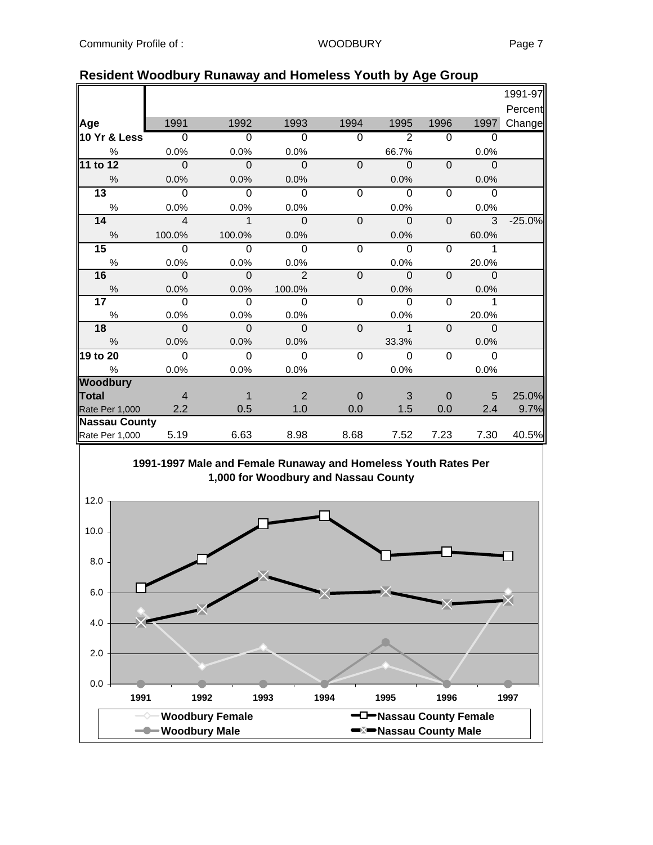|                      |                |                |                |                |                     |                |                | 1991-97  |
|----------------------|----------------|----------------|----------------|----------------|---------------------|----------------|----------------|----------|
|                      |                |                |                |                |                     |                |                | Percent  |
| Age                  | 1991           | 1992           | 1993           | 1994           | 1995                | 1996           | 1997           | Change   |
| 10 Yr & Less         | $\overline{0}$ | $\overline{0}$ | $\overline{0}$ | $\overline{0}$ | $\overline{2}$      | $\overline{0}$ | $\Omega$       |          |
| $\%$                 | 0.0%           | 0.0%           | 0.0%           |                | 66.7%               |                | 0.0%           |          |
| 11 to 12             | $\overline{0}$ | $\mathbf 0$    | $\Omega$       | $\Omega$       | $\overline{0}$      | $\Omega$       | $\Omega$       |          |
| $\frac{0}{0}$        | 0.0%           | 0.0%           | 0.0%           |                | 0.0%                |                | 0.0%           |          |
| $\overline{13}$      | $\Omega$       | $\overline{0}$ | $\Omega$       | $\overline{0}$ | $\Omega$            | 0              | $\overline{0}$ |          |
| $\%$                 | 0.0%           | 0.0%           | 0.0%           |                | 0.0%                |                | 0.0%           |          |
| 14                   | $\overline{4}$ | $\mathbf{1}$   | $\mathbf 0$    | $\mathbf 0$    | $\mathbf 0$         | $\mathbf 0$    | 3              | $-25.0%$ |
| $\frac{0}{0}$        | 100.0%         | 100.0%         | 0.0%           |                | 0.0%                |                | 60.0%          |          |
| 15                   | $\Omega$       | $\overline{0}$ | $\mathbf 0$    | $\mathbf 0$    | $\overline{0}$      | $\Omega$       | 1              |          |
| $\%$                 | 0.0%           | 0.0%           | 0.0%           |                | 0.0%                |                | 20.0%          |          |
| 16                   | 0              | $\Omega$       | $\mathcal{P}$  | $\mathbf{0}$   | $\mathbf 0$         | $\Omega$       | $\mathbf{0}$   |          |
| $\%$                 | 0.0%           | 0.0%           | 100.0%         |                | 0.0%                |                | 0.0%           |          |
| 17 <sub>2</sub>      | $\Omega$       | $\Omega$       | $\Omega$       | $\Omega$       | $\Omega$            | 0              | 1              |          |
| $\%$                 | 0.0%           | 0.0%           | 0.0%           |                | 0.0%                |                | 20.0%          |          |
| 18                   | $\Omega$       | $\mathbf{0}$   | $\mathbf{0}$   | $\mathbf 0$    | $\ddot{\mathbf{1}}$ | $\mathbf{0}$   | $\mathbf{0}$   |          |
| $\%$                 | 0.0%           | 0.0%           | 0.0%           |                | 33.3%               |                | 0.0%           |          |
| 19 to 20             | $\Omega$       | $\overline{0}$ | $\mathbf 0$    | $\mathbf 0$    | $\overline{0}$      | $\Omega$       | $\overline{0}$ |          |
| %                    | 0.0%           | 0.0%           | 0.0%           |                | 0.0%                |                | 0.0%           |          |
| <b>Woodbury</b>      |                |                |                |                |                     |                |                |          |
| <b>Total</b>         | $\overline{4}$ | 1              | 2              | $\overline{0}$ | 3                   | $\Omega$       | 5              | 25.0%    |
| Rate Per 1,000       | 2.2            | 0.5            | 1.0            | 0.0            | 1.5                 | 0.0            | 2.4            | 9.7%     |
| <b>Nassau County</b> |                |                |                |                |                     |                |                |          |
| Rate Per 1,000       | 5.19           | 6.63           | 8.98           | 8.68           | 7.52                | 7.23           | 7.30           | 40.5%    |

### **Resident Woodbury Runaway and Homeless Youth by Age Group**

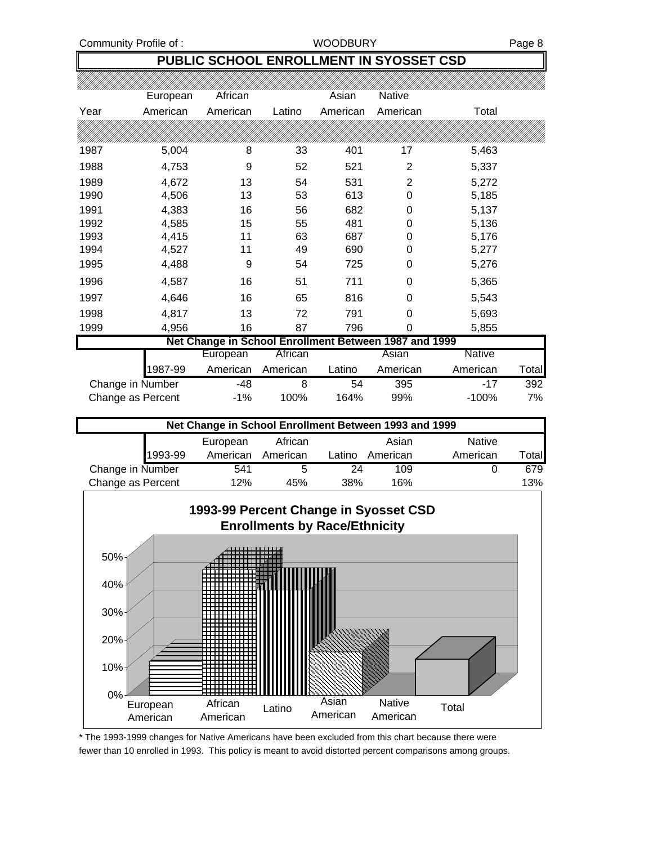### **PUBLIC SCHOOL ENROLLMENT IN SYOSSET CSD**

|                                                       | European | African  |          | Asian    | Native         |          |       |  |
|-------------------------------------------------------|----------|----------|----------|----------|----------------|----------|-------|--|
| Year                                                  | American | American | Latino   | American | American       | Total    |       |  |
|                                                       |          |          |          |          |                |          |       |  |
| 1987                                                  | 5,004    | 8        | 33       | 401      | 17             | 5,463    |       |  |
| 1988                                                  | 4,753    | 9        | 52       | 521      | 2              | 5,337    |       |  |
| 1989                                                  | 4,672    | 13       | 54       | 531      | $\overline{2}$ | 5,272    |       |  |
| 1990                                                  | 4,506    | 13       | 53       | 613      | 0              | 5,185    |       |  |
| 1991                                                  | 4,383    | 16       | 56       | 682      | 0              | 5,137    |       |  |
| 1992                                                  | 4,585    | 15       | 55       | 481      | 0              | 5,136    |       |  |
| 1993                                                  | 4,415    | 11       | 63       | 687      | 0              | 5,176    |       |  |
| 1994                                                  | 4,527    | 11       | 49       | 690      | 0              | 5,277    |       |  |
| 1995                                                  | 4,488    | 9        | 54       | 725      | 0              | 5,276    |       |  |
| 1996                                                  | 4,587    | 16       | 51       | 711      | 0              | 5,365    |       |  |
| 1997                                                  | 4,646    | 16       | 65       | 816      | 0              | 5,543    |       |  |
| 1998                                                  | 4,817    | 13       | 72       | 791      | 0              | 5,693    |       |  |
| 1999                                                  | 4,956    | 16       | 87       | 796      | 0              | 5,855    |       |  |
| Net Change in School Enrollment Between 1987 and 1999 |          |          |          |          |                |          |       |  |
|                                                       |          | European | African  |          | Asian          | Native   |       |  |
|                                                       | 1987-99  | American | American | Latino   | American       | American | Total |  |
| Change in Number                                      |          | -48      | 8        | 54       | 395            | $-17$    | 392   |  |
| Change as Percent                                     |          | $-1%$    | 100%     | 164%     | 99%            | $-100%$  | 7%    |  |

| Net Change in School Enrollment Between 1993 and 1999 |         |          |          |        |          |               |       |
|-------------------------------------------------------|---------|----------|----------|--------|----------|---------------|-------|
|                                                       |         | European | African  |        | Asian    | <b>Native</b> |       |
|                                                       | 1993-99 | American | American | Latino | American | American      | Total |
| Change in Number                                      |         | 541      | 5        | 24     | 109      |               | 679   |
| Change as Percent                                     |         | 12%      | 45%      | 38%    | 16%      |               | 13%   |



<sup>\*</sup> The 1993-1999 changes for Native Americans have been excluded from this chart because there were fewer than 10 enrolled in 1993. This policy is meant to avoid distorted percent comparisons among groups.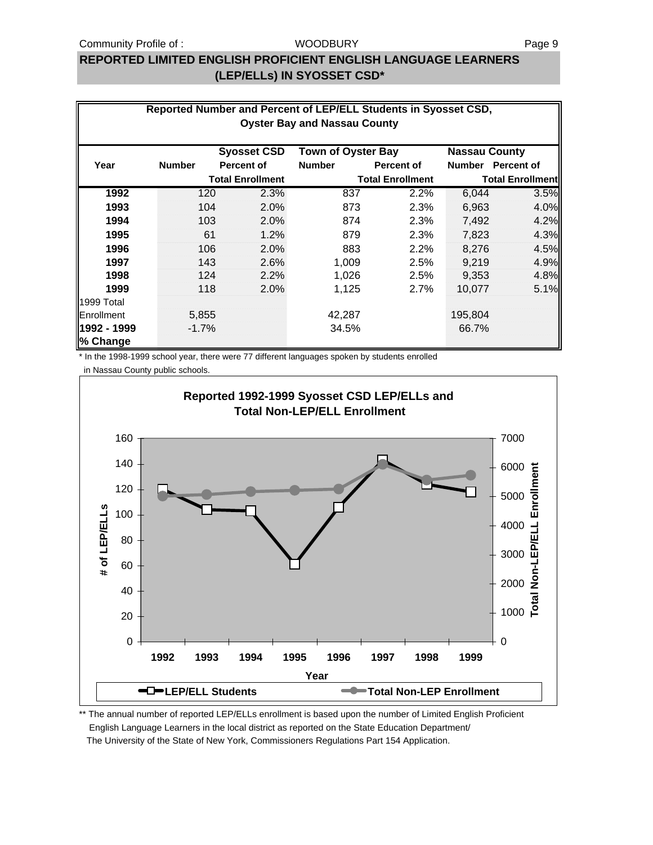### **REPORTED LIMITED ENGLISH PROFICIENT ENGLISH LANGUAGE LEARNERS (LEP/ELLs) IN SYOSSET CSD\***

| Reported Number and Percent of LEP/ELL Students in Syosset CSD,<br><b>Oyster Bay and Nassau County</b> |               |                   |                         |                           |                         |                      |                         |
|--------------------------------------------------------------------------------------------------------|---------------|-------------------|-------------------------|---------------------------|-------------------------|----------------------|-------------------------|
|                                                                                                        |               |                   | <b>Syosset CSD</b>      | <b>Town of Oyster Bay</b> |                         | <b>Nassau County</b> |                         |
| Year                                                                                                   | <b>Number</b> | <b>Percent of</b> |                         | <b>Number</b>             | <b>Percent of</b>       |                      | Number Percent of       |
|                                                                                                        |               |                   | <b>Total Enrollment</b> |                           | <b>Total Enrollment</b> |                      | <b>Total Enrollment</b> |
| 1992                                                                                                   | 120           |                   | 2.3%                    | 837                       | 2.2%                    | 6,044                | 3.5%                    |
| 1993                                                                                                   | 104           |                   | 2.0%                    | 873                       | 2.3%                    | 6,963                | 4.0%                    |
| 1994                                                                                                   | 103           |                   | 2.0%                    | 874                       | 2.3%                    | 7,492                | 4.2%                    |
| 1995                                                                                                   |               | 61                | 1.2%                    | 879                       | 2.3%                    | 7,823                | 4.3%                    |
| 1996                                                                                                   | 106           |                   | 2.0%                    | 883                       | 2.2%                    | 8.276                | 4.5%                    |
| 1997                                                                                                   | 143           |                   | 2.6%                    | 1,009                     | 2.5%                    | 9,219                | 4.9%                    |
| 1998                                                                                                   | 124           |                   | 2.2%                    | 1,026                     | 2.5%                    | 9,353                | 4.8%                    |
| 1999                                                                                                   | 118           |                   | 2.0%                    | 1,125                     | 2.7%                    | 10,077               | 5.1%                    |
| 1999 Total                                                                                             |               |                   |                         |                           |                         |                      |                         |
| Enrollment                                                                                             | 5,855         |                   |                         | 42,287                    |                         | 195,804              |                         |
| 1992 - 1999<br>% Change                                                                                | $-1.7%$       |                   |                         | 34.5%                     |                         | 66.7%                |                         |

\* In the 1998-1999 school year, there were 77 different languages spoken by students enrolled

in Nassau County public schools.



\*\* The annual number of reported LEP/ELLs enrollment is based upon the number of Limited English Proficient English Language Learners in the local district as reported on the State Education Department/ The University of the State of New York, Commissioners Regulations Part 154 Application.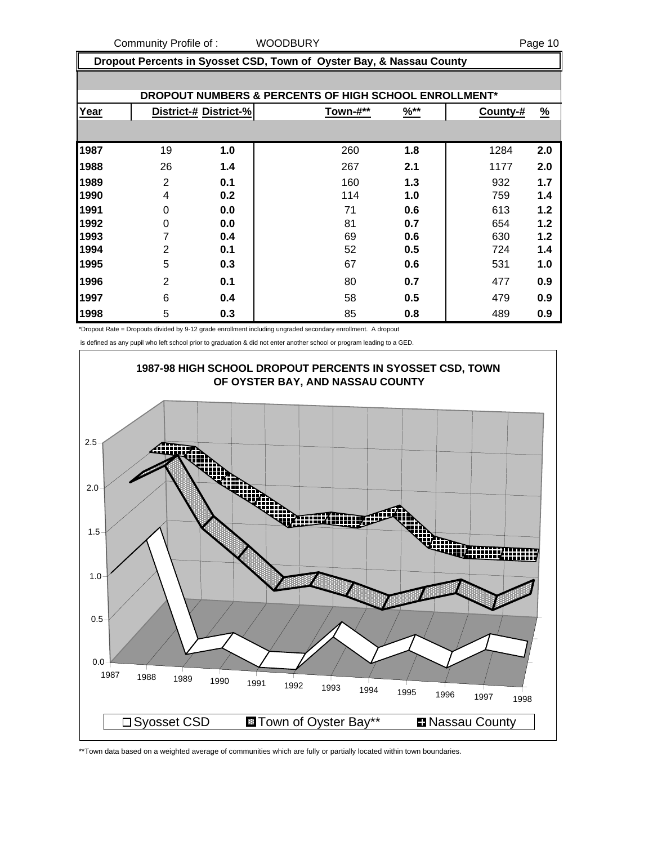Community Profile of : WOODBURY **Page 10** 

 **Dropout Percents in Syosset CSD, Town of Oyster Bay, & Nassau County**

|      | DROPOUT NUMBERS & PERCENTS OF HIGH SCHOOL ENROLLMENT* |                       |          |                  |          |               |  |  |  |  |
|------|-------------------------------------------------------|-----------------------|----------|------------------|----------|---------------|--|--|--|--|
| Year |                                                       | District-# District-% | Town-#** | $\frac{96**}{8}$ | County-# | $\frac{9}{6}$ |  |  |  |  |
|      |                                                       |                       |          |                  |          |               |  |  |  |  |
| 1987 | 19                                                    | 1.0                   | 260      | 1.8              | 1284     | 2.0           |  |  |  |  |
| 1988 | 26                                                    | 1.4                   | 267      | 2.1              | 1177     | 2.0           |  |  |  |  |
| 1989 | $\overline{2}$                                        | 0.1                   | 160      | 1.3              | 932      | 1.7           |  |  |  |  |
| 1990 | 4                                                     | 0.2                   | 114      | 1.0              | 759      | 1.4           |  |  |  |  |
| 1991 | 0                                                     | 0.0                   | 71       | 0.6              | 613      | 1.2           |  |  |  |  |
| 1992 | 0                                                     | 0.0                   | 81       | 0.7              | 654      | 1.2           |  |  |  |  |
| 1993 | 7                                                     | 0.4                   | 69       | 0.6              | 630      | 1.2           |  |  |  |  |
| 1994 | 2                                                     | 0.1                   | 52       | 0.5              | 724      | 1.4           |  |  |  |  |
| 1995 | 5                                                     | 0.3                   | 67       | 0.6              | 531      | 1.0           |  |  |  |  |
| 1996 | 2                                                     | 0.1                   | 80       | 0.7              | 477      | 0.9           |  |  |  |  |
| 1997 | 6                                                     | 0.4                   | 58       | 0.5              | 479      | 0.9           |  |  |  |  |
| 1998 | 5                                                     | 0.3                   | 85       | 0.8              | 489      | 0.9           |  |  |  |  |

\*Dropout Rate = Dropouts divided by 9-12 grade enrollment including ungraded secondary enrollment. A dropout

is defined as any pupil who left school prior to graduation & did not enter another school or program leading to a GED.



\*\*Town data based on a weighted average of communities which are fully or partially located within town boundaries.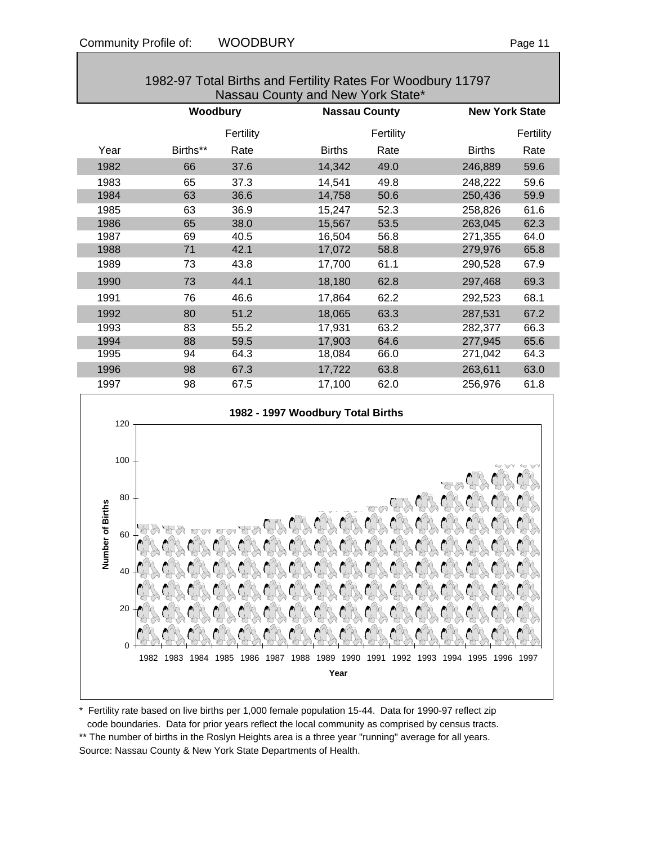| Nassau County and New York State* |          |           |                       |                       |           |  |
|-----------------------------------|----------|-----------|-----------------------|-----------------------|-----------|--|
|                                   | Woodbury |           | <b>Nassau County</b>  | <b>New York State</b> |           |  |
|                                   |          | Fertility | Fertility             |                       | Fertility |  |
| Year                              | Births** | Rate      | <b>Births</b><br>Rate | <b>Births</b>         | Rate      |  |
| 1982                              | 66       | 37.6      | 14,342<br>49.0        | 246,889               | 59.6      |  |
| 1983                              | 65       | 37.3      | 14,541<br>49.8        | 248,222               | 59.6      |  |
| 1984                              | 63       | 36.6      | 14,758<br>50.6        | 250,436               | 59.9      |  |
| 1985                              | 63       | 36.9      | 52.3<br>15,247        | 258,826               | 61.6      |  |
| 1986                              | 65       | 38.0      | 15,567<br>53.5        | 263,045               | 62.3      |  |
| 1987                              | 69       | 40.5      | 16,504<br>56.8        | 271,355               | 64.0      |  |
| 1988                              | 71       | 42.1      | 17,072<br>58.8        | 279,976               | 65.8      |  |
| 1989                              | 73       | 43.8      | 61.1<br>17,700        | 290,528               | 67.9      |  |
| 1990                              | 73       | 44.1      | 18,180<br>62.8        | 297,468               | 69.3      |  |
| 1991                              | 76       | 46.6      | 62.2<br>17,864        | 292,523               | 68.1      |  |
| 1992                              | 80       | 51.2      | 18,065<br>63.3        | 287,531               | 67.2      |  |
| 1993                              | 83       | 55.2      | 17,931<br>63.2        | 282,377               | 66.3      |  |
| 1994                              | 88       | 59.5      | 17,903<br>64.6        | 277,945               | 65.6      |  |
| 1995                              | 94       | 64.3      | 18,084<br>66.0        | 271,042               | 64.3      |  |
| 1996                              | 98       | 67.3      | 17,722<br>63.8        | 263,611               | 63.0      |  |
| 1997                              | 98       | 67.5      | 17,100<br>62.0        | 256,976               | 61.8      |  |





\* Fertility rate based on live births per 1,000 female population 15-44. Data for 1990-97 reflect zip code boundaries. Data for prior years reflect the local community as comprised by census tracts. \*\* The number of births in the Roslyn Heights area is a three year "running" average for all years. Source: Nassau County & New York State Departments of Health.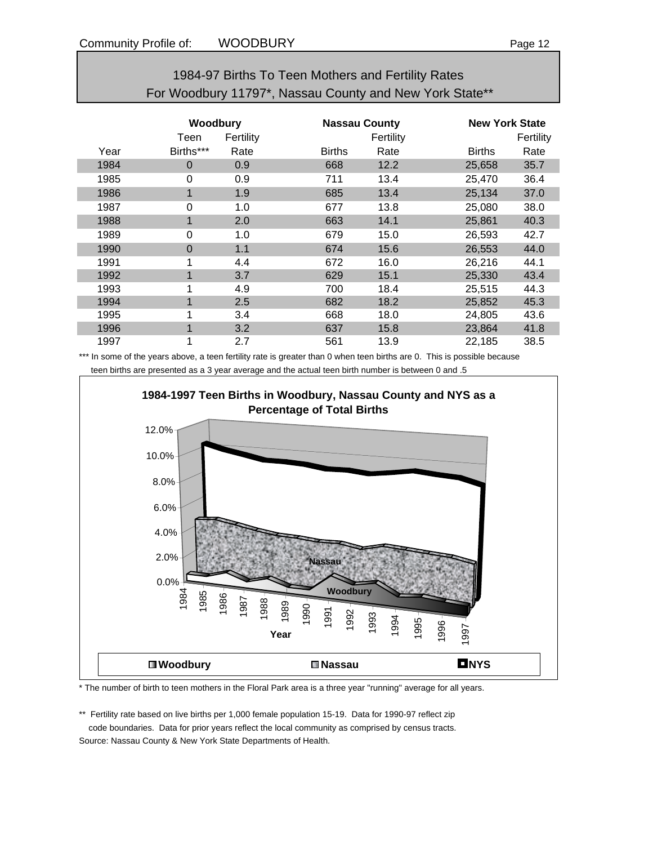| 1984-97 Births To Teen Mothers and Fertility Rates      |  |
|---------------------------------------------------------|--|
| For Woodbury 11797*, Nassau County and New York State** |  |

|      | <b>Woodbury</b><br>Fertility<br>Teen |      |               | <b>Nassau County</b><br>Fertility |               | <b>New York State</b><br>Fertility |  |
|------|--------------------------------------|------|---------------|-----------------------------------|---------------|------------------------------------|--|
| Year | Births***                            | Rate | <b>Births</b> | Rate                              | <b>Births</b> | Rate                               |  |
| 1984 | $\Omega$                             | 0.9  | 668           | 12.2                              | 25,658        | 35.7                               |  |
| 1985 | 0                                    | 0.9  | 711           | 13.4                              | 25,470        | 36.4                               |  |
| 1986 | 1                                    | 1.9  | 685           | 13.4                              | 25,134        | 37.0                               |  |
| 1987 | 0                                    | 1.0  | 677           | 13.8                              | 25,080        | 38.0                               |  |
| 1988 | 1                                    | 2.0  | 663           | 14.1                              | 25,861        | 40.3                               |  |
| 1989 | 0                                    | 1.0  | 679           | 15.0                              | 26,593        | 42.7                               |  |
| 1990 | $\Omega$                             | 1.1  | 674           | 15.6                              | 26,553        | 44.0                               |  |
| 1991 | 1                                    | 4.4  | 672           | 16.0                              | 26,216        | 44.1                               |  |
| 1992 | 1                                    | 3.7  | 629           | 15.1                              | 25,330        | 43.4                               |  |
| 1993 | 1                                    | 4.9  | 700           | 18.4                              | 25,515        | 44.3                               |  |
| 1994 | 1                                    | 2.5  | 682           | 18.2                              | 25,852        | 45.3                               |  |
| 1995 | 1                                    | 3.4  | 668           | 18.0                              | 24,805        | 43.6                               |  |
| 1996 | 1                                    | 3.2  | 637           | 15.8                              | 23,864        | 41.8                               |  |
| 1997 | 1                                    | 2.7  | 561           | 13.9                              | 22,185        | 38.5                               |  |

\*\*\* In some of the years above, a teen fertility rate is greater than 0 when teen births are 0. This is possible because teen births are presented as a 3 year average and the actual teen birth number is between 0 and .5



\* The number of birth to teen mothers in the Floral Park area is a three year "running" average for all years.

\*\* Fertility rate based on live births per 1,000 female population 15-19. Data for 1990-97 reflect zip code boundaries. Data for prior years reflect the local community as comprised by census tracts.